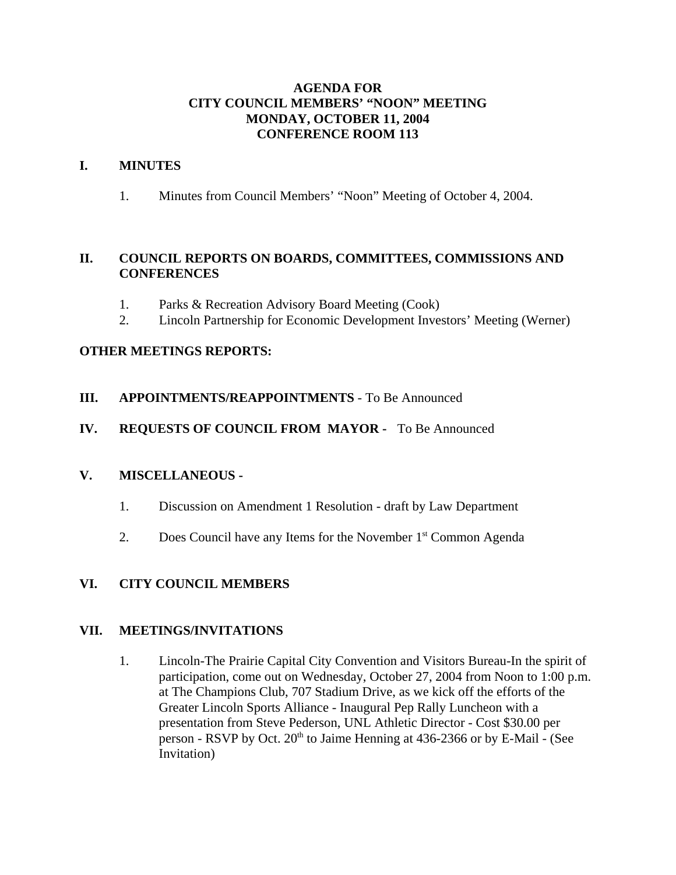#### **AGENDA FOR CITY COUNCIL MEMBERS' "NOON" MEETING MONDAY, OCTOBER 11, 2004 CONFERENCE ROOM 113**

#### **I. MINUTES**

1. Minutes from Council Members' "Noon" Meeting of October 4, 2004.

#### **II. COUNCIL REPORTS ON BOARDS, COMMITTEES, COMMISSIONS AND CONFERENCES**

- 1. Parks & Recreation Advisory Board Meeting (Cook)
- 2. Lincoln Partnership for Economic Development Investors' Meeting (Werner)

## **OTHER MEETINGS REPORTS:**

**III. APPOINTMENTS/REAPPOINTMENTS** - To Be Announced

## **IV. REQUESTS OF COUNCIL FROM MAYOR -** To Be Announced

#### **V. MISCELLANEOUS -**

- 1. Discussion on Amendment 1 Resolution draft by Law Department
- 2. Does Council have any Items for the November 1<sup>st</sup> Common Agenda

## **VI. CITY COUNCIL MEMBERS**

#### **VII. MEETINGS/INVITATIONS**

1. Lincoln-The Prairie Capital City Convention and Visitors Bureau-In the spirit of participation, come out on Wednesday, October 27, 2004 from Noon to 1:00 p.m. at The Champions Club, 707 Stadium Drive, as we kick off the efforts of the Greater Lincoln Sports Alliance - Inaugural Pep Rally Luncheon with a presentation from Steve Pederson, UNL Athletic Director - Cost \$30.00 per person - RSVP by Oct. 20<sup>th</sup> to Jaime Henning at 436-2366 or by E-Mail - (See Invitation)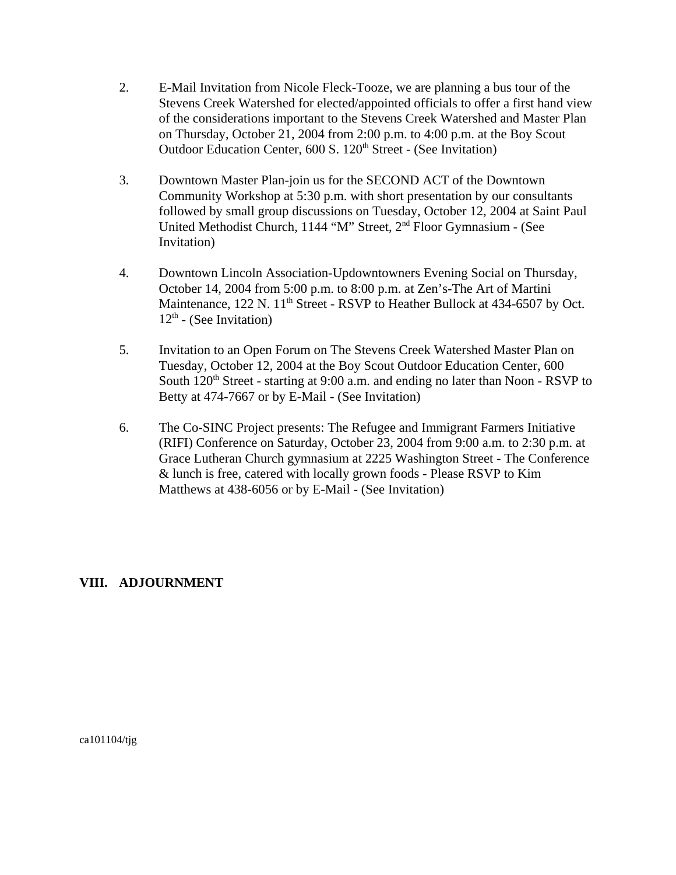- 2. E-Mail Invitation from Nicole Fleck-Tooze, we are planning a bus tour of the Stevens Creek Watershed for elected/appointed officials to offer a first hand view of the considerations important to the Stevens Creek Watershed and Master Plan on Thursday, October 21, 2004 from 2:00 p.m. to 4:00 p.m. at the Boy Scout Outdoor Education Center, 600 S. 120<sup>th</sup> Street - (See Invitation)
- 3. Downtown Master Plan-join us for the SECOND ACT of the Downtown Community Workshop at 5:30 p.m. with short presentation by our consultants followed by small group discussions on Tuesday, October 12, 2004 at Saint Paul United Methodist Church, 1144 "M" Street, 2nd Floor Gymnasium - (See Invitation)
- 4. Downtown Lincoln Association-Updowntowners Evening Social on Thursday, October 14, 2004 from 5:00 p.m. to 8:00 p.m. at Zen's-The Art of Martini Maintenance, 122 N. 11<sup>th</sup> Street - RSVP to Heather Bullock at 434-6507 by Oct.  $12<sup>th</sup>$  - (See Invitation)
- 5. Invitation to an Open Forum on The Stevens Creek Watershed Master Plan on Tuesday, October 12, 2004 at the Boy Scout Outdoor Education Center, 600 South  $120<sup>th</sup>$  Street - starting at 9:00 a.m. and ending no later than Noon - RSVP to Betty at 474-7667 or by E-Mail - (See Invitation)
- 6. The Co-SINC Project presents: The Refugee and Immigrant Farmers Initiative (RIFI) Conference on Saturday, October 23, 2004 from 9:00 a.m. to 2:30 p.m. at Grace Lutheran Church gymnasium at 2225 Washington Street - The Conference & lunch is free, catered with locally grown foods - Please RSVP to Kim Matthews at 438-6056 or by E-Mail - (See Invitation)

## **VIII. ADJOURNMENT**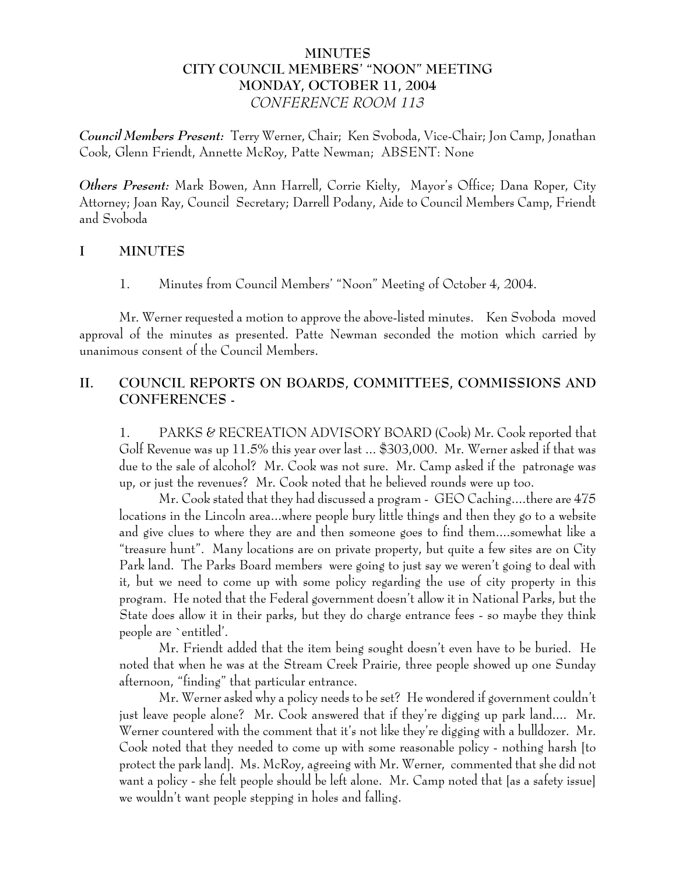# **MINUTES CITY COUNCIL MEMBERS' "NOON" MEETING MONDAY, OCTOBER 11, 2004** *CONFERENCE ROOM 113*

*Council Members Present:* Terry Werner, Chair; Ken Svoboda, Vice-Chair; Jon Camp, Jonathan Cook, Glenn Friendt, Annette McRoy, Patte Newman; ABSENT: None

*Others Present:* Mark Bowen, Ann Harrell, Corrie Kielty, Mayor's Office; Dana Roper, City Attorney; Joan Ray, Council Secretary; Darrell Podany, Aide to Council Members Camp, Friendt and Svoboda

#### **I MINUTES**

1. Minutes from Council Members' "Noon" Meeting of October 4, 2004.

Mr. Werner requested a motion to approve the above-listed minutes. Ken Svoboda moved approval of the minutes as presented. Patte Newman seconded the motion which carried by unanimous consent of the Council Members.

# **II. COUNCIL REPORTS ON BOARDS, COMMITTEES, COMMISSIONS AND CONFERENCES -**

1. PARKS & RECREATION ADVISORY BOARD (Cook) Mr. Cook reported that Golf Revenue was up 11.5% this year over last ... \$303,000. Mr. Werner asked if that was due to the sale of alcohol? Mr. Cook was not sure. Mr. Camp asked if the patronage was up, or just the revenues? Mr. Cook noted that he believed rounds were up too.

Mr. Cook stated that they had discussed a program - GEO Caching....there are 475 locations in the Lincoln area...where people bury little things and then they go to a website and give clues to where they are and then someone goes to find them....somewhat like a "treasure hunt". Many locations are on private property, but quite a few sites are on City Park land. The Parks Board members were going to just say we weren't going to deal with it, but we need to come up with some policy regarding the use of city property in this program. He noted that the Federal government doesn't allow it in National Parks, but the State does allow it in their parks, but they do charge entrance fees - so maybe they think people are `entitled'.

Mr. Friendt added that the item being sought doesn't even have to be buried. He noted that when he was at the Stream Creek Prairie, three people showed up one Sunday afternoon, "finding" that particular entrance.

Mr. Werner asked why a policy needs to be set? He wondered if government couldn't just leave people alone? Mr. Cook answered that if they're digging up park land.... Mr. Werner countered with the comment that it's not like they're digging with a bulldozer. Mr. Cook noted that they needed to come up with some reasonable policy - nothing harsh [to protect the park land]. Ms. McRoy, agreeing with Mr. Werner, commented that she did not want a policy - she felt people should be left alone. Mr. Camp noted that [as a safety issue] we wouldn't want people stepping in holes and falling.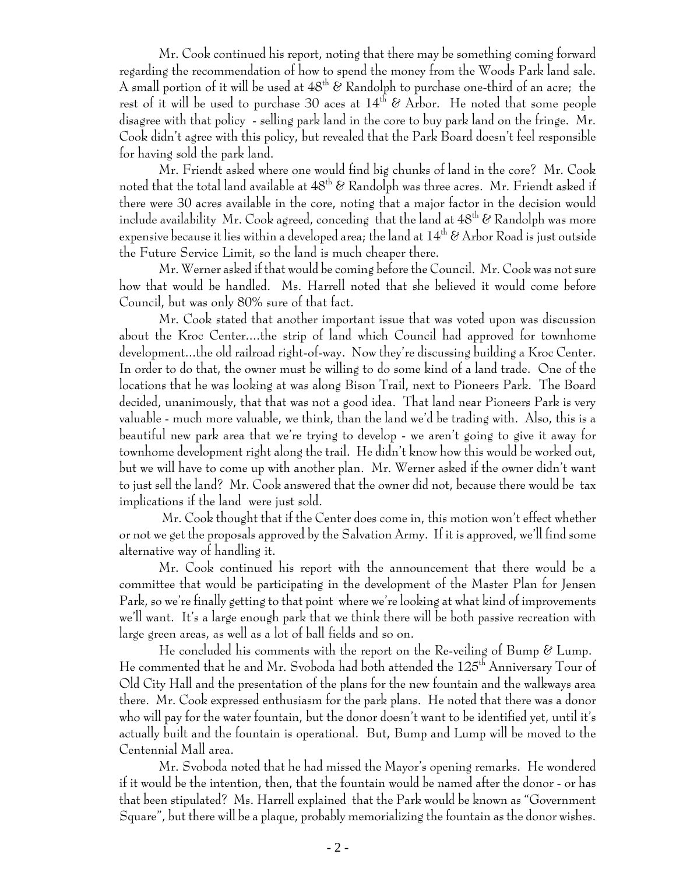Mr. Cook continued his report, noting that there may be something coming forward regarding the recommendation of how to spend the money from the Woods Park land sale. A small portion of it will be used at  $48<sup>th</sup>$  & Randolph to purchase one-third of an acre; the rest of it will be used to purchase 30 aces at  $14<sup>th</sup>$  & Arbor. He noted that some people disagree with that policy - selling park land in the core to buy park land on the fringe. Mr. Cook didn't agree with this policy, but revealed that the Park Board doesn't feel responsible for having sold the park land.

Mr. Friendt asked where one would find big chunks of land in the core? Mr. Cook noted that the total land available at  $48<sup>th</sup>$  & Randolph was three acres. Mr. Friendt asked if there were 30 acres available in the core, noting that a major factor in the decision would include availability Mr. Cook agreed, conceding that the land at  $48<sup>th</sup>$  & Randolph was more expensive because it lies within a developed area; the land at  $14^{th}$  & Arbor Road is just outside the Future Service Limit, so the land is much cheaper there.

Mr. Werner asked if that would be coming before the Council. Mr. Cook was not sure how that would be handled. Ms. Harrell noted that she believed it would come before Council, but was only 80% sure of that fact.

Mr. Cook stated that another important issue that was voted upon was discussion about the Kroc Center....the strip of land which Council had approved for townhome development...the old railroad right-of-way. Now they're discussing building a Kroc Center. In order to do that, the owner must be willing to do some kind of a land trade. One of the locations that he was looking at was along Bison Trail, next to Pioneers Park. The Board decided, unanimously, that that was not a good idea. That land near Pioneers Park is very valuable - much more valuable, we think, than the land we'd be trading with. Also, this is a beautiful new park area that we're trying to develop - we aren't going to give it away for townhome development right along the trail. He didn't know how this would be worked out, but we will have to come up with another plan. Mr. Werner asked if the owner didn't want to just sell the land? Mr. Cook answered that the owner did not, because there would be tax implications if the land were just sold.

 Mr. Cook thought that if the Center does come in, this motion won't effect whether or not we get the proposals approved by the Salvation Army. If it is approved, we'll find some alternative way of handling it.

Mr. Cook continued his report with the announcement that there would be a committee that would be participating in the development of the Master Plan for Jensen Park, so we're finally getting to that point where we're looking at what kind of improvements we'll want. It's a large enough park that we think there will be both passive recreation with large green areas, as well as a lot of ball fields and so on.

He concluded his comments with the report on the Re-veiling of Bump  $\mathscr E$  Lump. He commented that he and Mr. Svoboda had both attended the 125th Anniversary Tour of Old City Hall and the presentation of the plans for the new fountain and the walkways area there. Mr. Cook expressed enthusiasm for the park plans. He noted that there was a donor who will pay for the water fountain, but the donor doesn't want to be identified yet, until it's actually built and the fountain is operational. But, Bump and Lump will be moved to the Centennial Mall area.

Mr. Svoboda noted that he had missed the Mayor's opening remarks. He wondered if it would be the intention, then, that the fountain would be named after the donor - or has that been stipulated? Ms. Harrell explained that the Park would be known as "Government Square", but there will be a plaque, probably memorializing the fountain as the donor wishes.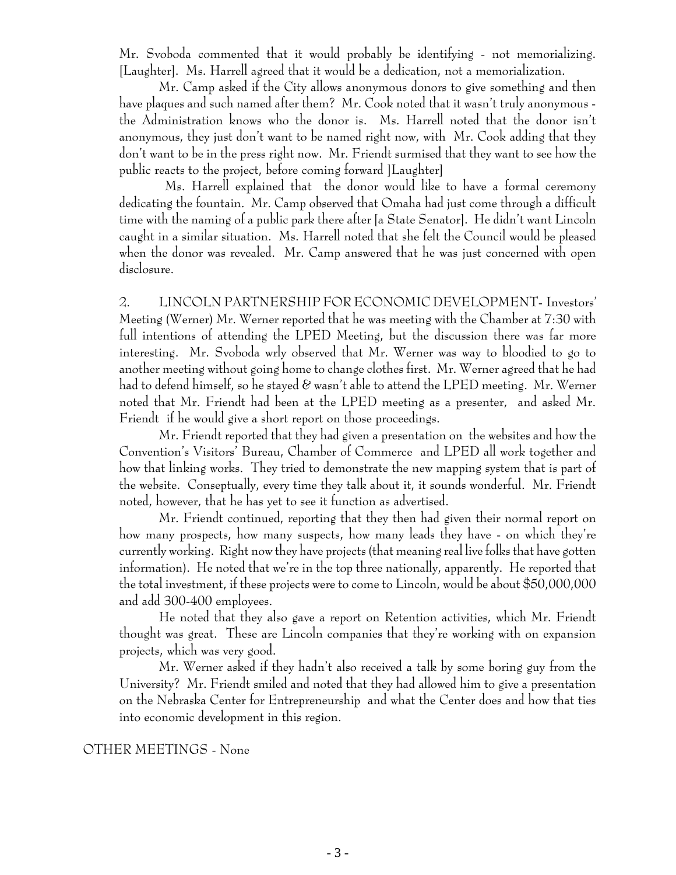Mr. Svoboda commented that it would probably be identifying - not memorializing. [Laughter]. Ms. Harrell agreed that it would be a dedication, not a memorialization.

Mr. Camp asked if the City allows anonymous donors to give something and then have plaques and such named after them? Mr. Cook noted that it wasn't truly anonymous the Administration knows who the donor is. Ms. Harrell noted that the donor isn't anonymous, they just don't want to be named right now, with Mr. Cook adding that they don't want to be in the press right now. Mr. Friendt surmised that they want to see how the public reacts to the project, before coming forward ]Laughter]

 Ms. Harrell explained that the donor would like to have a formal ceremony dedicating the fountain. Mr. Camp observed that Omaha had just come through a difficult time with the naming of a public park there after [a State Senator]. He didn't want Lincoln caught in a similar situation. Ms. Harrell noted that she felt the Council would be pleased when the donor was revealed. Mr. Camp answered that he was just concerned with open disclosure.

2. LINCOLN PARTNERSHIP FOR ECONOMIC DEVELOPMENT- Investors' Meeting (Werner) Mr. Werner reported that he was meeting with the Chamber at 7:30 with full intentions of attending the LPED Meeting, but the discussion there was far more interesting. Mr. Svoboda wrly observed that Mr. Werner was way to bloodied to go to another meeting without going home to change clothes first. Mr. Werner agreed that he had had to defend himself, so he stayed  $\mathscr C$  wasn't able to attend the LPED meeting. Mr. Werner noted that Mr. Friendt had been at the LPED meeting as a presenter, and asked Mr. Friendt if he would give a short report on those proceedings.

Mr. Friendt reported that they had given a presentation on the websites and how the Convention's Visitors' Bureau, Chamber of Commerce and LPED all work together and how that linking works. They tried to demonstrate the new mapping system that is part of the website. Conseptually, every time they talk about it, it sounds wonderful. Mr. Friendt noted, however, that he has yet to see it function as advertised.

Mr. Friendt continued, reporting that they then had given their normal report on how many prospects, how many suspects, how many leads they have - on which they're currently working. Right now they have projects (that meaning real live folks that have gotten information). He noted that we're in the top three nationally, apparently. He reported that the total investment, if these projects were to come to Lincoln, would be about \$50,000,000 and add 300-400 employees.

He noted that they also gave a report on Retention activities, which Mr. Friendt thought was great. These are Lincoln companies that they're working with on expansion projects, which was very good.

Mr. Werner asked if they hadn't also received a talk by some boring guy from the University? Mr. Friendt smiled and noted that they had allowed him to give a presentation on the Nebraska Center for Entrepreneurship and what the Center does and how that ties into economic development in this region.

#### OTHER MEETINGS - None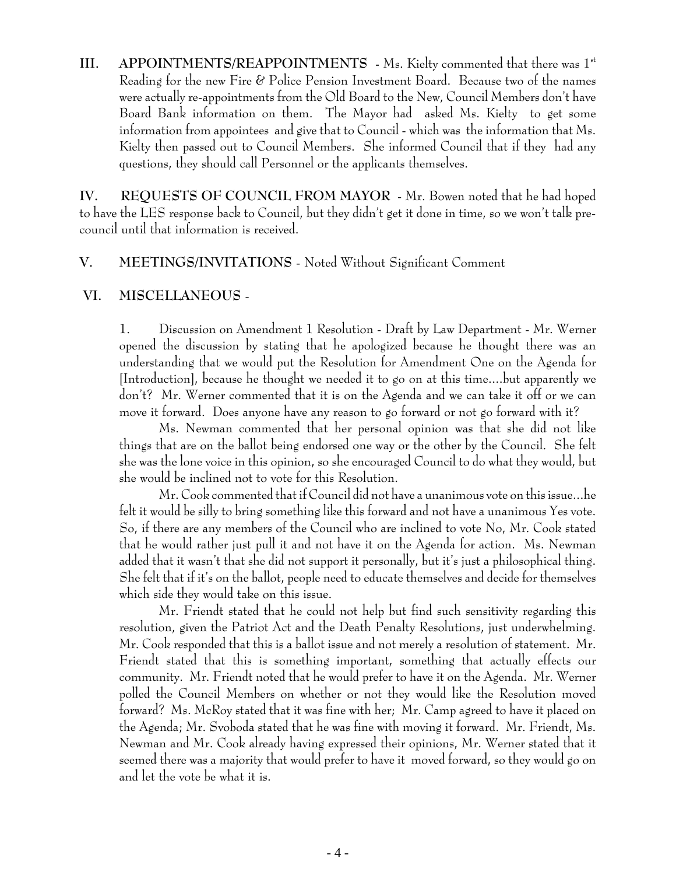**III.** APPOINTMENTS/REAPPOINTMENTS - Ms. Kielty commented that there was 1<sup>st</sup> Reading for the new Fire & Police Pension Investment Board. Because two of the names were actually re-appointments from the Old Board to the New, Council Members don't have Board Bank information on them. The Mayor had asked Ms. Kielty to get some information from appointees and give that to Council - which was the information that Ms. Kielty then passed out to Council Members. She informed Council that if they had any questions, they should call Personnel or the applicants themselves.

**IV. REQUESTS OF COUNCIL FROM MAYOR** - Mr. Bowen noted that he had hoped to have the LES response back to Council, but they didn't get it done in time, so we won't talk precouncil until that information is received.

## **V. MEETINGS/INVITATIONS** - Noted Without Significant Comment

#### **VI. MISCELLANEOUS** -

1. Discussion on Amendment 1 Resolution - Draft by Law Department - Mr. Werner opened the discussion by stating that he apologized because he thought there was an understanding that we would put the Resolution for Amendment One on the Agenda for [Introduction], because he thought we needed it to go on at this time....but apparently we don't? Mr. Werner commented that it is on the Agenda and we can take it off or we can move it forward. Does anyone have any reason to go forward or not go forward with it?

Ms. Newman commented that her personal opinion was that she did not like things that are on the ballot being endorsed one way or the other by the Council. She felt she was the lone voice in this opinion, so she encouraged Council to do what they would, but she would be inclined not to vote for this Resolution.

Mr. Cook commented that if Council did not have a unanimous vote on this issue...he felt it would be silly to bring something like this forward and not have a unanimous Yes vote. So, if there are any members of the Council who are inclined to vote No, Mr. Cook stated that he would rather just pull it and not have it on the Agenda for action. Ms. Newman added that it wasn't that she did not support it personally, but it's just a philosophical thing. She felt that if it's on the ballot, people need to educate themselves and decide for themselves which side they would take on this issue.

Mr. Friendt stated that he could not help but find such sensitivity regarding this resolution, given the Patriot Act and the Death Penalty Resolutions, just underwhelming. Mr. Cook responded that this is a ballot issue and not merely a resolution of statement. Mr. Friendt stated that this is something important, something that actually effects our community. Mr. Friendt noted that he would prefer to have it on the Agenda. Mr. Werner polled the Council Members on whether or not they would like the Resolution moved forward? Ms. McRoy stated that it was fine with her; Mr. Camp agreed to have it placed on the Agenda; Mr. Svoboda stated that he was fine with moving it forward. Mr. Friendt, Ms. Newman and Mr. Cook already having expressed their opinions, Mr. Werner stated that it seemed there was a majority that would prefer to have it moved forward, so they would go on and let the vote be what it is.